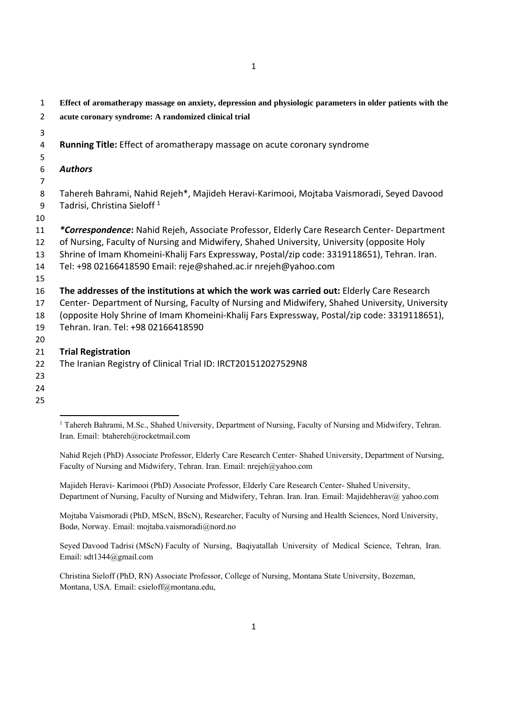| $\mathbf{1}$   | Effect of aromatherapy massage on anxiety, depression and physiologic parameters in older patients with the |
|----------------|-------------------------------------------------------------------------------------------------------------|
| $\overline{2}$ | acute coronary syndrome: A randomized clinical trial                                                        |
| 3              |                                                                                                             |
| 4              | Running Title: Effect of aromatherapy massage on acute coronary syndrome                                    |
| 5              |                                                                                                             |
| 6              | <b>Authors</b>                                                                                              |
| $\overline{7}$ |                                                                                                             |
| 8              | Tahereh Bahrami, Nahid Rejeh*, Majideh Heravi-Karimooi, Mojtaba Vaismoradi, Seyed Davood                    |
| $9\,$          | Tadrisi, Christina Sieloff <sup>1</sup>                                                                     |
| 10             |                                                                                                             |
| 11             | *Correspondence: Nahid Rejeh, Associate Professor, Elderly Care Research Center- Department                 |
| 12             | of Nursing, Faculty of Nursing and Midwifery, Shahed University, University (opposite Holy                  |
| 13             | Shrine of Imam Khomeini-Khalij Fars Expressway, Postal/zip code: 3319118651), Tehran. Iran.                 |
| 14             | Tel: +98 02166418590 Email: reje@shahed.ac.ir nrejeh@yahoo.com                                              |
| 15             |                                                                                                             |
| 16             | The addresses of the institutions at which the work was carried out: Elderly Care Research                  |
| 17             | Center- Department of Nursing, Faculty of Nursing and Midwifery, Shahed University, University              |
| 18             | (opposite Holy Shrine of Imam Khomeini-Khalij Fars Expressway, Postal/zip code: 3319118651),                |
| 19             | Tehran. Iran. Tel: +98 02166418590                                                                          |
| 20             |                                                                                                             |
| 21             | <b>Trial Registration</b>                                                                                   |
| 22             | The Iranian Registry of Clinical Trial ID: IRCT201512027529N8                                               |
| 23             |                                                                                                             |
| 24             |                                                                                                             |
|                |                                                                                                             |

Nahid Rejeh (PhD) Associate Professor, Elderly Care Research Center- Shahed University, Department of Nursing, Faculty of Nursing and Midwifery, Tehran. Iran. Email: nrejeh@yahoo.com

Majideh Heravi- Karimooi (PhD) Associate Professor, Elderly Care Research Center- Shahed University, Department of Nursing, Faculty of Nursing and Midwifery, Tehran. Iran. Iran. Email: Majidehherav@ yahoo.com

Mojtaba Vaismoradi (PhD, MScN, BScN), Researcher, Faculty of Nursing and Health Sciences, Nord University, Bodø, Norway. Email: mojtaba.vaismoradi@nord.no

Seyed Davood Tadrisi (MScN) Faculty of Nursing, Baqiyatallah University of Medical Science, Tehran, Iran. Email: sdt1344@gmail.com

Christina Sieloff (PhD, RN) Associate Professor, College of Nursing, Montana State University, Bozeman, Montana, USA. Email: csieloff@montana.edu,

<sup>&</sup>lt;sup>1</sup> Tahereh Bahrami, M.Sc., Shahed University, Department of Nursing, Faculty of Nursing and Midwifery, Tehran. Iran. Email: btahereh@rocketmail.com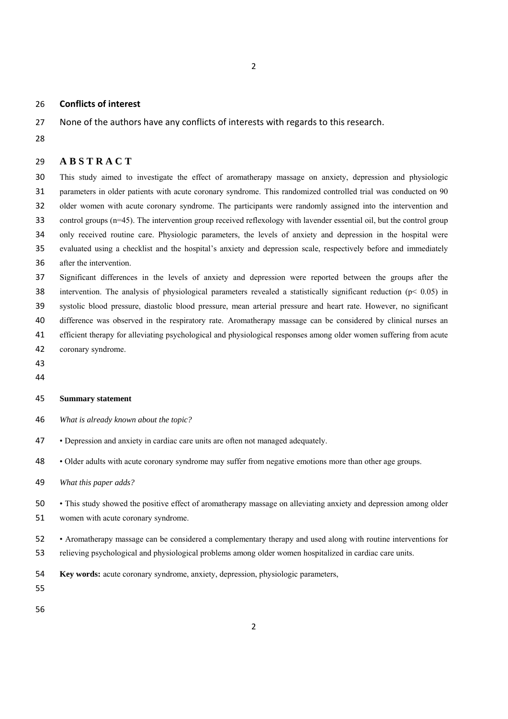### **Conflicts of interest**

- None of the authors have any conflicts of interests with regards to this research.
- 

## **A B S T R A C T**

 This study aimed to investigate the effect of aromatherapy massage on anxiety, depression and physiologic parameters in older patients with acute coronary syndrome. This randomized controlled trial was conducted on 90 older women with acute coronary syndrome. The participants were randomly assigned into the intervention and control groups (n=45). The intervention group received reflexology with lavender essential oil, but the control group only received routine care. Physiologic parameters, the levels of anxiety and depression in the hospital were evaluated using a checklist and the hospital's anxiety and depression scale, respectively before and immediately after the intervention.

 Significant differences in the levels of anxiety and depression were reported between the groups after the 38 intervention. The analysis of physiological parameters revealed a statistically significant reduction ( $p < 0.05$ ) in systolic blood pressure, diastolic blood pressure, mean arterial pressure and heart rate. However, no significant difference was observed in the respiratory rate. Aromatherapy massage can be considered by clinical nurses an efficient therapy for alleviating psychological and physiological responses among older women suffering from acute coronary syndrome.

- 
- 

### 

## **Summary statement**

- *What is already known about the topic?*
- Depression and anxiety in cardiac care units are often not managed adequately.

• Older adults with acute coronary syndrome may suffer from negative emotions more than other age groups.

- This study showed the positive effect of aromatherapy massage on alleviating anxiety and depression among older women with acute coronary syndrome.
- Aromatherapy massage can be considered a complementary therapy and used along with routine interventions for
- relieving psychological and physiological problems among older women hospitalized in cardiac care units.
- **Key words:** acute coronary syndrome, anxiety, depression, physiologic parameters,

*What this paper adds?*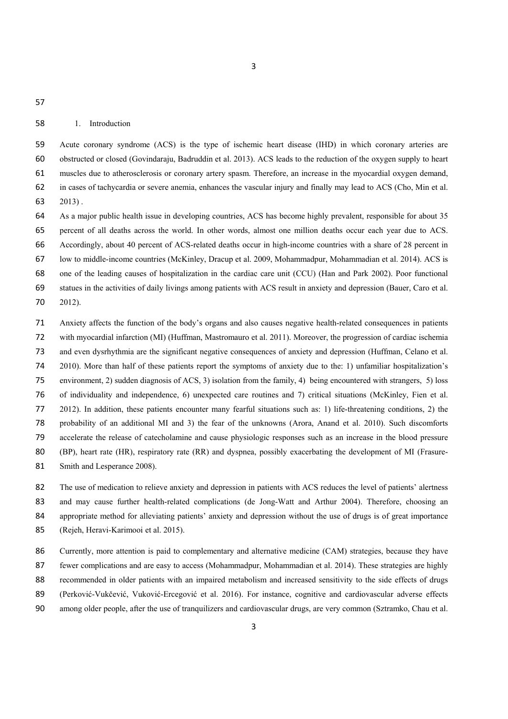### 1. Introduction

 Acute coronary syndrome (ACS) is the type of ischemic heart disease (IHD) in which coronary arteries are obstructed or closed (Govindaraju, Badruddin et al. 2013). ACS leads to the reduction of the oxygen supply to heart muscles due to atherosclerosis or coronary artery spasm. Therefore, an increase in the myocardial oxygen demand, in cases of tachycardia or severe anemia, enhances the vascular injury and finally may lead to ACS (Cho, Min et al.

2013) .

 As a major public health issue in developing countries, ACS has become highly prevalent, responsible for about 35 percent of all deaths across the world. In other words, almost one million deaths occur each year due to ACS. Accordingly, about 40 percent of ACS-related deaths occur in high-income countries with a share of 28 percent in low to middle-income countries (McKinley, Dracup et al. 2009, Mohammadpur, Mohammadian et al. 2014). ACS is one of the leading causes of hospitalization in the cardiac care unit (CCU) (Han and Park 2002). Poor functional statues in the activities of daily livings among patients with ACS result in anxiety and depression (Bauer, Caro et al. 2012).

- Anxiety affects the function of the body's organs and also causes negative health-related consequences in patients with myocardial infarction (MI) (Huffman, Mastromauro et al. 2011). Moreover, the progression of cardiac ischemia and even dysrhythmia are the significant negative consequences of anxiety and depression (Huffman, Celano et al. 2010). More than half of these patients report the symptoms of anxiety due to the: 1) unfamiliar hospitalization's environment, 2) sudden diagnosis of ACS, 3) isolation from the family, 4) being encountered with strangers, 5) loss of individuality and independence, 6) unexpected care routines and 7) critical situations (McKinley, Fien et al. 2012). In addition, these patients encounter many fearful situations such as: 1) life-threatening conditions, 2) the probability of an additional MI and 3) the fear of the unknowns (Arora, Anand et al. 2010). Such discomforts accelerate the release of catecholamine and cause physiologic responses such as an increase in the blood pressure (BP), heart rate (HR), respiratory rate (RR) and dyspnea, possibly exacerbating the development of MI (Frasure-81 Smith and Lesperance 2008).
- The use of medication to relieve anxiety and depression in patients with ACS reduces the level of patients' alertness 83 and may cause further health-related complications (de Jong-Watt and Arthur 2004). Therefore, choosing an appropriate method for alleviating patients' anxiety and depression without the use of drugs is of great importance (Rejeh, Heravi-Karimooi et al. 2015).
- Currently, more attention is paid to complementary and alternative medicine (CAM) strategies, because they have
- 87 fewer complications and are easy to access (Mohammadpur, Mohammadian et al. 2014). These strategies are highly
- recommended in older patients with an impaired metabolism and increased sensitivity to the side effects of drugs
- (Perković-Vukčević, Vuković-Ercegović et al. 2016). For instance, cognitive and cardiovascular adverse effects
- among older people, after the use of tranquilizers and cardiovascular drugs, are very common (Sztramko, Chau et al.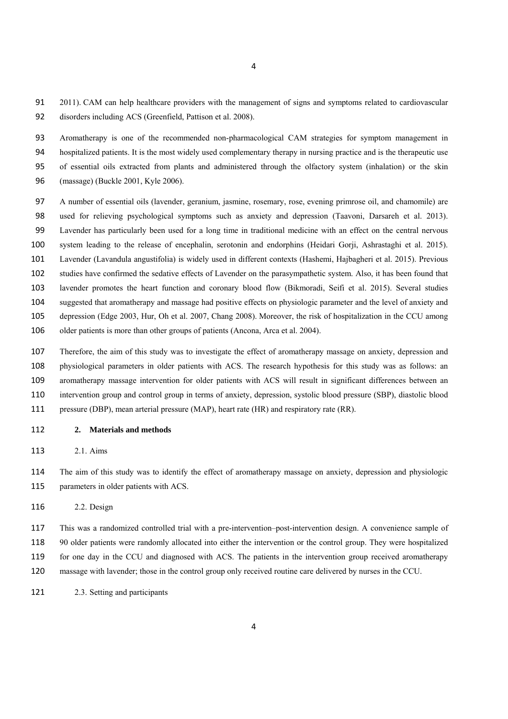2011). CAM can help healthcare providers with the management of signs and symptoms related to cardiovascular disorders including ACS (Greenfield, Pattison et al. 2008).

 Aromatherapy is one of the recommended non-pharmacological CAM strategies for symptom management in hospitalized patients. It is the most widely used complementary therapy in nursing practice and is the therapeutic use of essential oils extracted from plants and administered through the olfactory system (inhalation) or the skin (massage) (Buckle 2001, Kyle 2006).

 A number of essential oils (lavender, geranium, jasmine, rosemary, rose, evening primrose oil, and chamomile) are used for relieving psychological symptoms such as anxiety and depression (Taavoni, Darsareh et al. 2013). Lavender has particularly been used for a long time in traditional medicine with an effect on the central nervous system leading to the release of encephalin, serotonin and endorphins (Heidari Gorji, Ashrastaghi et al. 2015). Lavender (Lavandula angustifolia) is widely used in different contexts (Hashemi, Hajbagheri et al. 2015). Previous studies have confirmed the sedative effects of Lavender on the parasympathetic system. Also, it has been found that lavender promotes the heart function and coronary blood flow (Bikmoradi, Seifi et al. 2015). Several studies suggested that aromatherapy and massage had positive effects on physiologic parameter and the level of anxiety and depression (Edge 2003, Hur, Oh et al. 2007, Chang 2008). Moreover, the risk of hospitalization in the CCU among older patients is more than other groups of patients (Ancona, Arca et al. 2004).

 Therefore, the aim of this study was to investigate the effect of aromatherapy massage on anxiety, depression and physiological parameters in older patients with ACS. The research hypothesis for this study was as follows: an aromatherapy massage intervention for older patients with ACS will result in significant differences between an

 intervention group and control group in terms of anxiety, depression, systolic blood pressure (SBP), diastolic blood pressure (DBP), mean arterial pressure (MAP), heart rate (HR) and respiratory rate (RR).

- **2. Materials and methods**
- 2.1. Aims

 The aim of this study was to identify the effect of aromatherapy massage on anxiety, depression and physiologic parameters in older patients with ACS.

2.2. Design

 This was a randomized controlled trial with a pre-intervention–post-intervention design. A convenience sample of 90 older patients were randomly allocated into either the intervention or the control group. They were hospitalized for one day in the CCU and diagnosed with ACS. The patients in the intervention group received aromatherapy massage with lavender; those in the control group only received routine care delivered by nurses in the CCU.

2.3. Setting and participants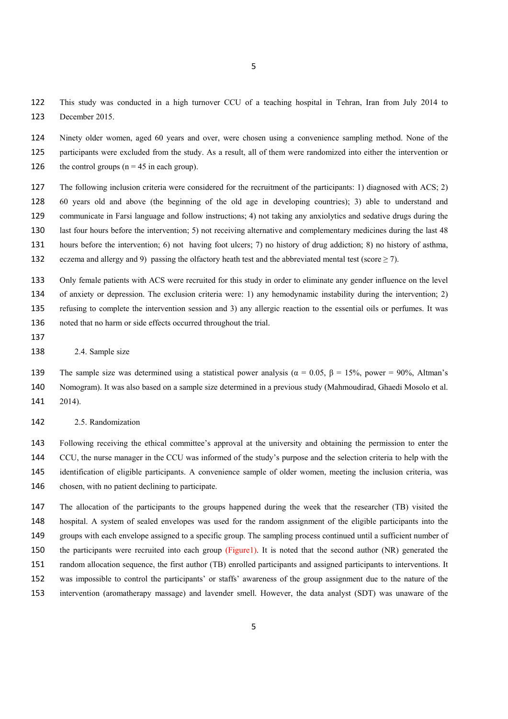This study was conducted in a high turnover CCU of a teaching hospital in Tehran, Iran from July 2014 to December 2015.

 Ninety older women, aged 60 years and over, were chosen using a convenience sampling method. None of the participants were excluded from the study. As a result, all of them were randomized into either the intervention or 126 the control groups  $(n = 45$  in each group).

127 The following inclusion criteria were considered for the recruitment of the participants: 1) diagnosed with ACS; 2) 60 years old and above (the beginning of the old age in developing countries); 3) able to understand and communicate in Farsi language and follow instructions; 4) not taking any anxiolytics and sedative drugs during the last four hours before the intervention; 5) not receiving alternative and complementary medicines during the last 48 hours before the intervention; 6) not having foot ulcers; 7) no history of drug addiction; 8) no history of asthma, 132 eczema and allergy and 9) passing the olfactory heath test and the abbreviated mental test (score  $\geq$  7).

 Only female patients with ACS were recruited for this study in order to eliminate any gender influence on the level of anxiety or depression. The exclusion criteria were: 1) any hemodynamic instability during the intervention; 2) refusing to complete the intervention session and 3) any allergic reaction to the essential oils or perfumes. It was noted that no harm or side effects occurred throughout the trial.

- 
- 2.4. Sample size

139 The sample size was determined using a statistical power analysis ( $\alpha = 0.05$ ,  $\beta = 15\%$ , power = 90%, Altman's Nomogram). It was also based on a sample size determined in a previous study (Mahmoudirad, Ghaedi Mosolo et al. 2014).

2.5. Randomization

 Following receiving the ethical committee's approval at the university and obtaining the permission to enter the CCU, the nurse manager in the CCU was informed of the study's purpose and the selection criteria to help with the identification of eligible participants. A convenience sample of older women, meeting the inclusion criteria, was chosen, with no patient declining to participate.

 The allocation of the participants to the groups happened during the week that the researcher (TB) visited the hospital. A system of sealed envelopes was used for the random assignment of the eligible participants into the groups with each envelope assigned to a specific group. The sampling process continued until a sufficient number of the participants were recruited into each group (Figure1). It is noted that the second author (NR) generated the random allocation sequence, the first author (TB) enrolled participants and assigned participants to interventions. It was impossible to control the participants' or staffs' awareness of the group assignment due to the nature of the intervention (aromatherapy massage) and lavender smell. However, the data analyst (SDT) was unaware of the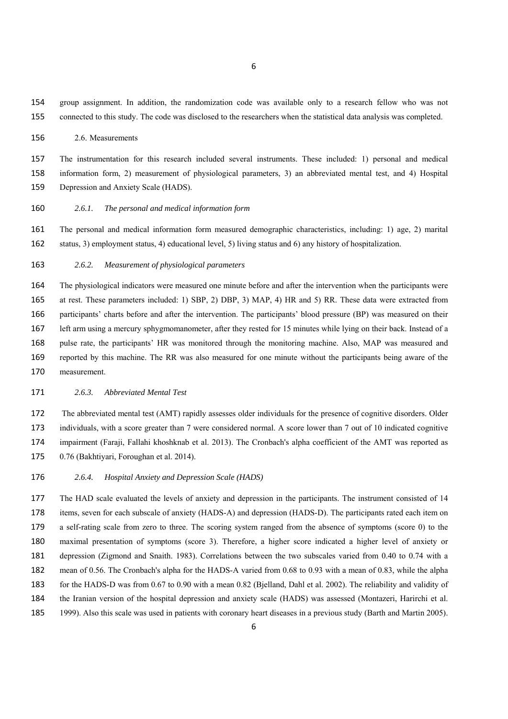group assignment. In addition, the randomization code was available only to a research fellow who was not connected to this study. The code was disclosed to the researchers when the statistical data analysis was completed.

2.6. Measurements

 The instrumentation for this research included several instruments. These included: 1) personal and medical information form, 2) measurement of physiological parameters, 3) an abbreviated mental test, and 4) Hospital Depression and Anxiety Scale (HADS).

*2.6.1. The personal and medical information form* 

 The personal and medical information form measured demographic characteristics, including: 1) age, 2) marital status, 3) employment status, 4) educational level, 5) living status and 6) any history of hospitalization.

*2.6.2. Measurement of physiological parameters* 

 The physiological indicators were measured one minute before and after the intervention when the participants were at rest. These parameters included: 1) SBP, 2) DBP, 3) MAP, 4) HR and 5) RR. These data were extracted from participants' charts before and after the intervention. The participants' blood pressure (BP) was measured on their left arm using a mercury sphygmomanometer, after they rested for 15 minutes while lying on their back. Instead of a pulse rate, the participants' HR was monitored through the monitoring machine. Also, MAP was measured and reported by this machine. The RR was also measured for one minute without the participants being aware of the measurement.

#### *2.6.3. Abbreviated Mental Test*

 The abbreviated mental test (AMT) rapidly assesses older individuals for the presence of cognitive disorders. Older individuals, with a score greater than 7 were considered normal. A score lower than 7 out of 10 indicated cognitive impairment (Faraji, Fallahi khoshknab et al. 2013). The Cronbach's alpha coefficient of the AMT was reported as 0.76 (Bakhtiyari, Foroughan et al. 2014).

*2.6.4. Hospital Anxiety and Depression Scale (HADS)* 

 The HAD scale evaluated the levels of anxiety and depression in the participants. The instrument consisted of 14 items, seven for each subscale of anxiety (HADS-A) and depression (HADS-D). The participants rated each item on a self-rating scale from zero to three. The scoring system ranged from the absence of symptoms (score 0) to the maximal presentation of symptoms (score 3). Therefore, a higher score indicated a higher level of anxiety or depression (Zigmond and Snaith. 1983). Correlations between the two subscales varied from 0.40 to 0.74 with a mean of 0.56. The Cronbach's alpha for the HADS-A varied from 0.68 to 0.93 with a mean of 0.83, while the alpha for the HADS-D was from 0.67 to 0.90 with a mean 0.82 (Bjelland, Dahl et al. 2002). The reliability and validity of the Iranian version of the hospital depression and anxiety scale (HADS) was assessed (Montazeri, Harirchi et al. 1999). Also this scale was used in patients with coronary heart diseases in a previous study (Barth and Martin 2005).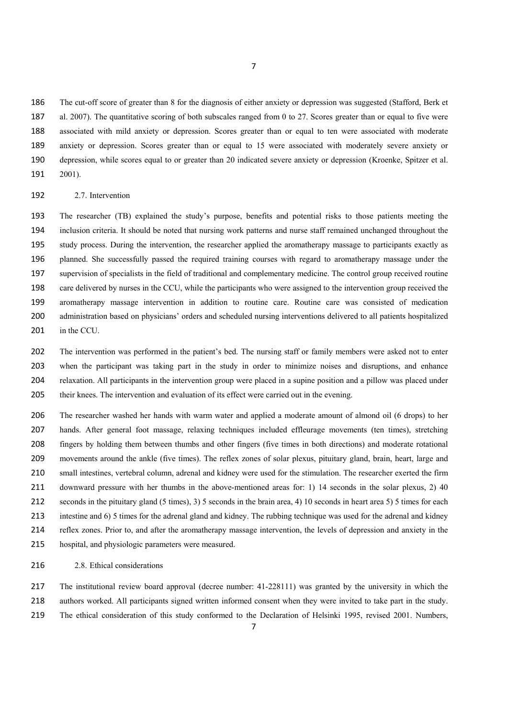The cut-off score of greater than 8 for the diagnosis of either anxiety or depression was suggested (Stafford, Berk et al. 2007). The quantitative scoring of both subscales ranged from 0 to 27. Scores greater than or equal to five were associated with mild anxiety or depression. Scores greater than or equal to ten were associated with moderate anxiety or depression. Scores greater than or equal to 15 were associated with moderately severe anxiety or depression, while scores equal to or greater than 20 indicated severe anxiety or depression (Kroenke, Spitzer et al. 2001).

#### 2.7. Intervention

 The researcher (TB) explained the study's purpose, benefits and potential risks to those patients meeting the inclusion criteria. It should be noted that nursing work patterns and nurse staff remained unchanged throughout the study process. During the intervention, the researcher applied the aromatherapy massage to participants exactly as planned. She successfully passed the required training courses with regard to aromatherapy massage under the supervision of specialists in the field of traditional and complementary medicine. The control group received routine care delivered by nurses in the CCU, while the participants who were assigned to the intervention group received the aromatherapy massage intervention in addition to routine care. Routine care was consisted of medication administration based on physicians' orders and scheduled nursing interventions delivered to all patients hospitalized 201 in the CCU.

 The intervention was performed in the patient's bed. The nursing staff or family members were asked not to enter when the participant was taking part in the study in order to minimize noises and disruptions, and enhance relaxation. All participants in the intervention group were placed in a supine position and a pillow was placed under their knees. The intervention and evaluation of its effect were carried out in the evening.

 The researcher washed her hands with warm water and applied a moderate amount of almond oil (6 drops) to her hands. After general foot massage, relaxing techniques included effleurage movements (ten times), stretching fingers by holding them between thumbs and other fingers (five times in both directions) and moderate rotational movements around the ankle (five times). The reflex zones of solar plexus, pituitary gland, brain, heart, large and small intestines, vertebral column, adrenal and kidney were used for the stimulation. The researcher exerted the firm 211 downward pressure with her thumbs in the above-mentioned areas for: 1) 14 seconds in the solar plexus, 2) 40 seconds in the pituitary gland (5 times), 3) 5 seconds in the brain area, 4) 10 seconds in heart area 5) 5 times for each intestine and 6) 5 times for the adrenal gland and kidney. The rubbing technique was used for the adrenal and kidney reflex zones. Prior to, and after the aromatherapy massage intervention, the levels of depression and anxiety in the hospital, and physiologic parameters were measured.

#### 2.8. Ethical considerations

 The institutional review board approval (decree number: 41-228111) was granted by the university in which the authors worked. All participants signed written informed consent when they were invited to take part in the study. 219 The ethical consideration of this study conformed to the Declaration of Helsinki 1995, revised 2001. Numbers,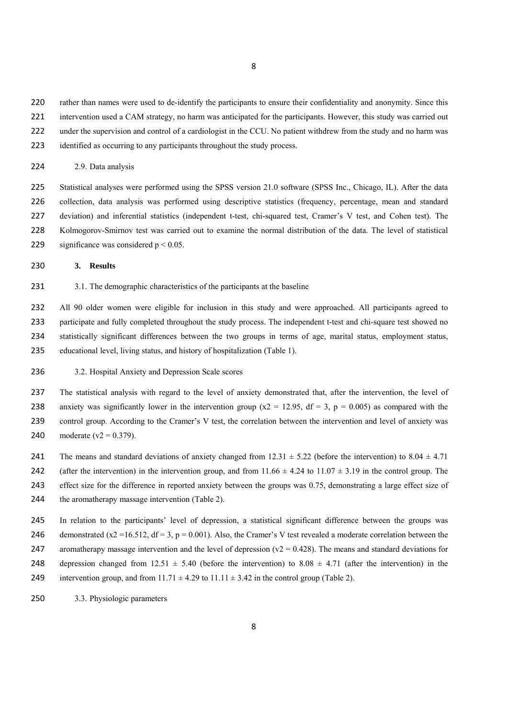220 rather than names were used to de-identify the participants to ensure their confidentiality and anonymity. Since this

- 221 intervention used a CAM strategy, no harm was anticipated for the participants. However, this study was carried out
- 222 under the supervision and control of a cardiologist in the CCU. No patient withdrew from the study and no harm was
- 223 identified as occurring to any participants throughout the study process.
- 224 2.9. Data analysis

225 Statistical analyses were performed using the SPSS version 21.0 software (SPSS Inc., Chicago, IL). After the data 226 collection, data analysis was performed using descriptive statistics (frequency, percentage, mean and standard 227 deviation) and inferential statistics (independent t-test, chi-squared test, Cramer's V test, and Cohen test). The 228 Kolmogorov-Smirnov test was carried out to examine the normal distribution of the data. The level of statistical 229 significance was considered  $p < 0.05$ .

230 **3. Results** 

#### 231 3.1. The demographic characteristics of the participants at the baseline

 All 90 older women were eligible for inclusion in this study and were approached. All participants agreed to participate and fully completed throughout the study process. The independent t-test and chi-square test showed no statistically significant differences between the two groups in terms of age, marital status, employment status, educational level, living status, and history of hospitalization (Table 1).

236 3.2. Hospital Anxiety and Depression Scale scores

237 The statistical analysis with regard to the level of anxiety demonstrated that, after the intervention, the level of 238 anxiety was significantly lower in the intervention group ( $x^2 = 12.95$ , df = 3, p = 0.005) as compared with the 239 control group. According to the Cramer's V test, the correlation between the intervention and level of anxiety was 240 moderate  $(v2 = 0.379)$ .

- 241 The means and standard deviations of anxiety changed from  $12.31 \pm 5.22$  (before the intervention) to  $8.04 \pm 4.71$
- 242 (after the intervention) in the intervention group, and from  $11.66 \pm 4.24$  to  $11.07 \pm 3.19$  in the control group. The
- 243 effect size for the difference in reported anxiety between the groups was 0.75, demonstrating a large effect size of
- 244 the aromatherapy massage intervention (Table 2).
- 245 In relation to the participants' level of depression, a statistical significant difference between the groups was 246 demonstrated (x2 = 16.512, df = 3, p = 0.001). Also, the Cramer's V test revealed a moderate correlation between the
- 247 aromatherapy massage intervention and the level of depression ( $v2 = 0.428$ ). The means and standard deviations for
- 248 depression changed from 12.51  $\pm$  5.40 (before the intervention) to 8.08  $\pm$  4.71 (after the intervention) in the
- 249 intervention group, and from  $11.71 \pm 4.29$  to  $11.11 \pm 3.42$  in the control group (Table 2).
- 250 3.3. Physiologic parameters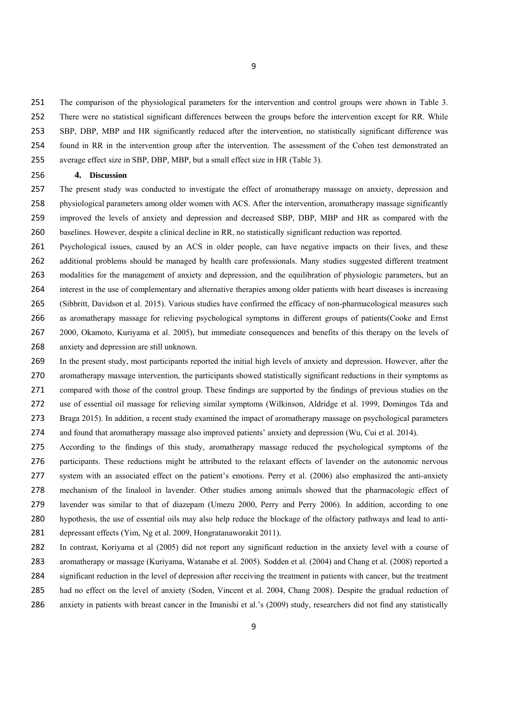The comparison of the physiological parameters for the intervention and control groups were shown in Table 3.

- There were no statistical significant differences between the groups before the intervention except for RR. While SBP, DBP, MBP and HR significantly reduced after the intervention, no statistically significant difference was found in RR in the intervention group after the intervention. The assessment of the Cohen test demonstrated an
- average effect size in SBP, DBP, MBP, but a small effect size in HR (Table 3).

### **4. Discussion**

 The present study was conducted to investigate the effect of aromatherapy massage on anxiety, depression and physiological parameters among older women with ACS. After the intervention, aromatherapy massage significantly improved the levels of anxiety and depression and decreased SBP, DBP, MBP and HR as compared with the baselines. However, despite a clinical decline in RR, no statistically significant reduction was reported.

 Psychological issues, caused by an ACS in older people, can have negative impacts on their lives, and these additional problems should be managed by health care professionals. Many studies suggested different treatment modalities for the management of anxiety and depression, and the equilibration of physiologic parameters, but an interest in the use of complementary and alternative therapies among older patients with heart diseases is increasing (Sibbritt, Davidson et al. 2015). Various studies have confirmed the efficacy of non-pharmacological measures such as aromatherapy massage for relieving psychological symptoms in different groups of patients(Cooke and Ernst 2000, Okamoto, Kuriyama et al. 2005), but immediate consequences and benefits of this therapy on the levels of anxiety and depression are still unknown.

 In the present study, most participants reported the initial high levels of anxiety and depression. However, after the aromatherapy massage intervention, the participants showed statistically significant reductions in their symptoms as compared with those of the control group. These findings are supported by the findings of previous studies on the use of essential oil massage for relieving similar symptoms (Wilkinson, Aldridge et al. 1999, Domingos Tda and Braga 2015). In addition, a recent study examined the impact of aromatherapy massage on psychological parameters and found that aromatherapy massage also improved patients' anxiety and depression (Wu, Cui et al. 2014).

 According to the findings of this study, aromatherapy massage reduced the psychological symptoms of the participants. These reductions might be attributed to the relaxant effects of lavender on the autonomic nervous system with an associated effect on the patient's emotions. Perry et al. (2006) also emphasized the anti-anxiety mechanism of the linalool in lavender. Other studies among animals showed that the pharmacologic effect of lavender was similar to that of diazepam (Umezu 2000, Perry and Perry 2006). In addition, according to one hypothesis, the use of essential oils may also help reduce the blockage of the olfactory pathways and lead to anti-

281 depressant effects (Yim, Ng et al. 2009, Hongratanaworakit 2011).

- In contrast, Koriyama et al (2005) did not report any significant reduction in the anxiety level with a course of
- aromatherapy or massage (Kuriyama, Watanabe et al. 2005). Sodden et al. (2004) and Chang et al. (2008) reported a
- significant reduction in the level of depression after receiving the treatment in patients with cancer, but the treatment
- had no effect on the level of anxiety (Soden, Vincent et al. 2004, Chang 2008). Despite the gradual reduction of
- anxiety in patients with breast cancer in the Imanishi et al.'s (2009) study, researchers did not find any statistically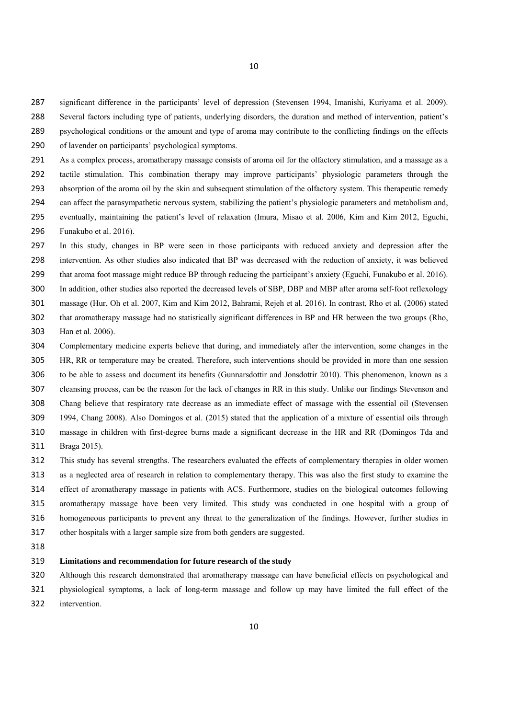significant difference in the participants' level of depression (Stevensen 1994, Imanishi, Kuriyama et al. 2009).

- Several factors including type of patients, underlying disorders, the duration and method of intervention, patient's
- psychological conditions or the amount and type of aroma may contribute to the conflicting findings on the effects
- of lavender on participants' psychological symptoms.
- As a complex process, aromatherapy massage consists of aroma oil for the olfactory stimulation, and a massage as a tactile stimulation. This combination therapy may improve participants' physiologic parameters through the 293 absorption of the aroma oil by the skin and subsequent stimulation of the olfactory system. This therapeutic remedy can affect the parasympathetic nervous system, stabilizing the patient's physiologic parameters and metabolism and, eventually, maintaining the patient's level of relaxation (Imura, Misao et al. 2006, Kim and Kim 2012, Eguchi, Funakubo et al. 2016).
- In this study, changes in BP were seen in those participants with reduced anxiety and depression after the intervention. As other studies also indicated that BP was decreased with the reduction of anxiety, it was believed that aroma foot massage might reduce BP through reducing the participant's anxiety (Eguchi, Funakubo et al. 2016). In addition, other studies also reported the decreased levels of SBP, DBP and MBP after aroma self-foot reflexology
- massage (Hur, Oh et al. 2007, Kim and Kim 2012, Bahrami, Rejeh et al. 2016). In contrast, Rho et al. (2006) stated
- that aromatherapy massage had no statistically significant differences in BP and HR between the two groups (Rho, Han et al. 2006).
- Complementary medicine experts believe that during, and immediately after the intervention, some changes in the HR, RR or temperature may be created. Therefore, such interventions should be provided in more than one session to be able to assess and document its benefits (Gunnarsdottir and Jonsdottir 2010). This phenomenon, known as a cleansing process, can be the reason for the lack of changes in RR in this study. Unlike our findings Stevenson and Chang believe that respiratory rate decrease as an immediate effect of massage with the essential oil (Stevensen 1994, Chang 2008). Also Domingos et al. (2015) stated that the application of a mixture of essential oils through
- massage in children with first-degree burns made a significant decrease in the HR and RR (Domingos Tda and Braga 2015).
- This study has several strengths. The researchers evaluated the effects of complementary therapies in older women as a neglected area of research in relation to complementary therapy. This was also the first study to examine the effect of aromatherapy massage in patients with ACS. Furthermore, studies on the biological outcomes following aromatherapy massage have been very limited. This study was conducted in one hospital with a group of homogeneous participants to prevent any threat to the generalization of the findings. However, further studies in other hospitals with a larger sample size from both genders are suggested.
- 
- **Limitations and recommendation for future research of the study**
- Although this research demonstrated that aromatherapy massage can have beneficial effects on psychological and physiological symptoms, a lack of long-term massage and follow up may have limited the full effect of the intervention.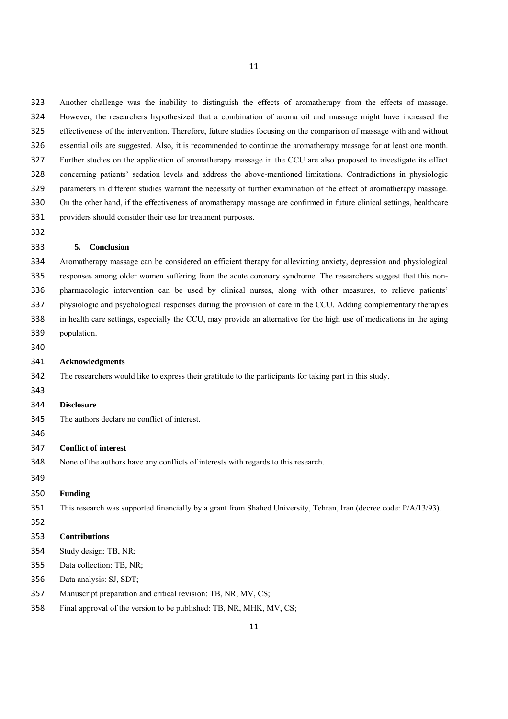Another challenge was the inability to distinguish the effects of aromatherapy from the effects of massage. However, the researchers hypothesized that a combination of aroma oil and massage might have increased the effectiveness of the intervention. Therefore, future studies focusing on the comparison of massage with and without essential oils are suggested. Also, it is recommended to continue the aromatherapy massage for at least one month. Further studies on the application of aromatherapy massage in the CCU are also proposed to investigate its effect concerning patients' sedation levels and address the above-mentioned limitations. Contradictions in physiologic parameters in different studies warrant the necessity of further examination of the effect of aromatherapy massage. On the other hand, if the effectiveness of aromatherapy massage are confirmed in future clinical settings, healthcare providers should consider their use for treatment purposes.

### **5. Conclusion**

 Aromatherapy massage can be considered an efficient therapy for alleviating anxiety, depression and physiological responses among older women suffering from the acute coronary syndrome. The researchers suggest that this non- pharmacologic intervention can be used by clinical nurses, along with other measures, to relieve patients' physiologic and psychological responses during the provision of care in the CCU. Adding complementary therapies in health care settings, especially the CCU, may provide an alternative for the high use of medications in the aging population.

### **Acknowledgments**

### The researchers would like to express their gratitude to the participants for taking part in this study.

## **Disclosure**

- The authors declare no conflict of interest.
- 

## **Conflict of interest**

- None of the authors have any conflicts of interests with regards to this research.
- 

# **Funding**

This research was supported financially by a grant from Shahed University, Tehran, Iran (decree code: P/A/13/93).

# **Contributions**

- Study design: TB, NR;
- Data collection: TB, NR;
- Data analysis: SJ, SDT;
- Manuscript preparation and critical revision: TB, NR, MV, CS;
- Final approval of the version to be published: TB, NR, MHK, MV, CS;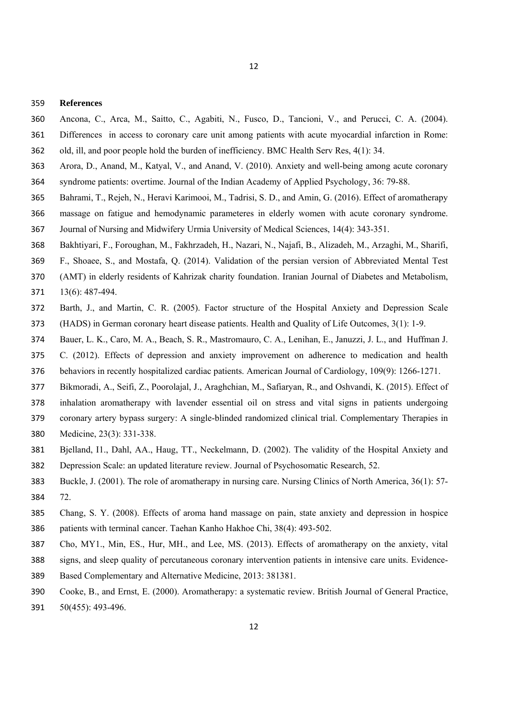#### **References**

- Ancona, C., Arca, M., Saitto, C., Agabiti, N., Fusco, D., Tancioni, V., and Perucci, C. A. (2004).
- Differences in access to coronary care unit among patients with acute myocardial infarction in Rome: old, ill, and poor people hold the burden of inefficiency. BMC Health Serv Res, 4(1): 34.
- Arora, D., Anand, M., Katyal, V., and Anand, V. (2010). Anxiety and well-being among acute coronary
- syndrome patients: overtime. Journal of the Indian Academy of Applied Psychology, 36: 79-88.
- Bahrami, T., Rejeh, N., Heravi Karimooi, M., Tadrisi, S. D., and Amin, G. (2016). Effect of aromatherapy
- massage on fatigue and hemodynamic parameteres in elderly women with acute coronary syndrome. Journal of Nursing and Midwifery Urmia University of Medical Sciences, 14(4): 343-351.
- Bakhtiyari, F., Foroughan, M., Fakhrzadeh, H., Nazari, N., Najafi, B., Alizadeh, M., Arzaghi, M., Sharifi,
- F., Shoaee, S., and Mostafa, Q. (2014). Validation of the persian version of Abbreviated Mental Test
- (AMT) in elderly residents of Kahrizak charity foundation. Iranian Journal of Diabetes and Metabolism,
- 13(6): 487-494.
- Barth, J., and Martin, C. R. (2005). Factor structure of the Hospital Anxiety and Depression Scale (HADS) in German coronary heart disease patients. Health and Quality of Life Outcomes, 3(1): 1-9.
- Bauer, L. K., Caro, M. A., Beach, S. R., Mastromauro, C. A., Lenihan, E., Januzzi, J. L., and Huffman J.
- C. (2012). Effects of depression and anxiety improvement on adherence to medication and health
- behaviors in recently hospitalized cardiac patients. American Journal of Cardiology, 109(9): 1266-1271.
- Bikmoradi, A., Seifi, Z., Poorolajal, J., Araghchian, M., Safiaryan, R., and Oshvandi, K. (2015). Effect of
- inhalation aromatherapy with lavender essential oil on stress and vital signs in patients undergoing
- coronary artery bypass surgery: A single-blinded randomized clinical trial. Complementary Therapies in
- Medicine, 23(3): 331-338.
- Bjelland, I1., Dahl, AA., Haug, TT., Neckelmann, D. (2002). The validity of the Hospital Anxiety and Depression Scale: an updated literature review. Journal of Psychosomatic Research, 52.
- Buckle, J. (2001). The role of aromatherapy in nursing care. Nursing Clinics of North America, 36(1): 57- 72.
- Chang, S. Y. (2008). Effects of aroma hand massage on pain, state anxiety and depression in hospice patients with terminal cancer. Taehan Kanho Hakhoe Chi, 38(4): 493-502.
- Cho, MY1., Min, ES., Hur, MH., and Lee, MS. (2013). Effects of aromatherapy on the anxiety, vital
- signs, and sleep quality of percutaneous coronary intervention patients in intensive care units. Evidence-
- Based Complementary and Alternative Medicine, 2013: 381381.
- Cooke, B., and Ernst, E. (2000). Aromatherapy: a systematic review. British Journal of General Practice,
- 50(455): 493-496.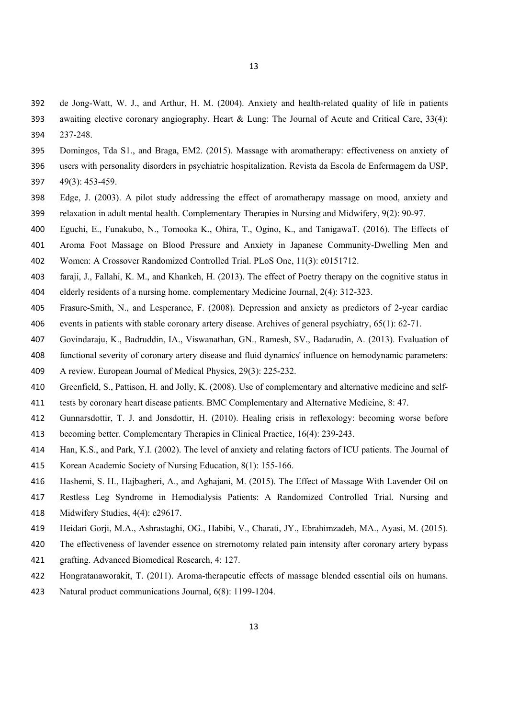- de Jong-Watt, W. J., and Arthur, H. M. (2004). Anxiety and health-related quality of life in patients
- awaiting elective coronary angiography. Heart & Lung: The Journal of Acute and Critical Care, 33(4):
- 237-248.
- Domingos, Tda S1., and Braga, EM2. (2015). Massage with aromatherapy: effectiveness on anxiety of
- users with personality disorders in psychiatric hospitalization. Revista da Escola de Enfermagem da USP, 49(3): 453-459.
- Edge, J. (2003). A pilot study addressing the effect of aromatherapy massage on mood, anxiety and relaxation in adult mental health. Complementary Therapies in Nursing and Midwifery, 9(2): 90-97.
- Eguchi, E., Funakubo, N., Tomooka K., Ohira, T., Ogino, K., and TanigawaT. (2016). The Effects of
- Aroma Foot Massage on Blood Pressure and Anxiety in Japanese Community-Dwelling Men and Women: A Crossover Randomized Controlled Trial. PLoS One, 11(3): e0151712.
- faraji, J., Fallahi, K. M., and Khankeh, H. (2013). The effect of Poetry therapy on the cognitive status in
- elderly residents of a nursing home. complementary Medicine Journal, 2(4): 312-323.
- Frasure-Smith, N., and Lesperance, F. (2008). Depression and anxiety as predictors of 2-year cardiac events in patients with stable coronary artery disease. Archives of general psychiatry, 65(1): 62-71.
- Govindaraju, K., Badruddin, IA., Viswanathan, GN., Ramesh, SV., Badarudin, A. (2013). Evaluation of
- functional severity of coronary artery disease and fluid dynamics' influence on hemodynamic parameters: A review. European Journal of Medical Physics, 29(3): 225-232.
- Greenfield, S., Pattison, H. and Jolly, K. (2008). Use of complementary and alternative medicine and self-
- tests by coronary heart disease patients. BMC Complementary and Alternative Medicine, 8: 47.
- Gunnarsdottir, T. J. and Jonsdottir, H. (2010). Healing crisis in reflexology: becoming worse before
- becoming better. Complementary Therapies in Clinical Practice, 16(4): 239-243.
- Han, K.S., and Park, Y.I. (2002). The level of anxiety and relating factors of ICU patients. The Journal of
- Korean Academic Society of Nursing Education, 8(1): 155-166.
- Hashemi, S. H., Hajbagheri, A., and Aghajani, M. (2015). The Effect of Massage With Lavender Oil on
- Restless Leg Syndrome in Hemodialysis Patients: A Randomized Controlled Trial. Nursing and
- Midwifery Studies, 4(4): e29617.
- Heidari Gorji, M.A., Ashrastaghi, OG., Habibi, V., Charati, JY., Ebrahimzadeh, MA., Ayasi, M. (2015).
- The effectiveness of lavender essence on strernotomy related pain intensity after coronary artery bypass
- grafting. Advanced Biomedical Research, 4: 127.
- Hongratanaworakit, T. (2011). Aroma-therapeutic effects of massage blended essential oils on humans.
- Natural product communications Journal, 6(8): 1199-1204.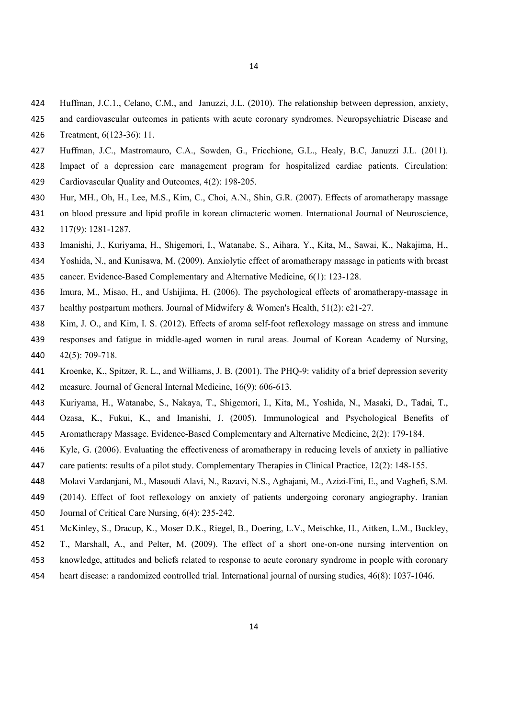- Huffman, J.C.1., Celano, C.M., and Januzzi, J.L. (2010). The relationship between depression, anxiety,
- and cardiovascular outcomes in patients with acute coronary syndromes. Neuropsychiatric Disease and
- Treatment, 6(123-36): 11.
- Huffman, J.C., Mastromauro, C.A., Sowden, G., Fricchione, G.L., Healy, B.C, Januzzi J.L. (2011).
- Impact of a depression care management program for hospitalized cardiac patients. Circulation: Cardiovascular Quality and Outcomes, 4(2): 198-205.
- Hur, MH., Oh, H., Lee, M.S., Kim, C., Choi, A.N., Shin, G.R. (2007). Effects of aromatherapy massage
- on blood pressure and lipid profile in korean climacteric women. International Journal of Neuroscience, 117(9): 1281-1287.
- Imanishi, J., Kuriyama, H., Shigemori, I., Watanabe, S., Aihara, Y., Kita, M., Sawai, K., Nakajima, H.,
- Yoshida, N., and Kunisawa, M. (2009). Anxiolytic effect of aromatherapy massage in patients with breast
- cancer. Evidence-Based Complementary and Alternative Medicine, 6(1): 123-128.
- Imura, M., Misao, H., and Ushijima, H. (2006). The psychological effects of aromatherapy-massage in healthy postpartum mothers. Journal of Midwifery & Women's Health, 51(2): e21-27.
- Kim, J. O., and Kim, I. S. (2012). Effects of aroma self-foot reflexology massage on stress and immune responses and fatigue in middle-aged women in rural areas. Journal of Korean Academy of Nursing,
- 42(5): 709-718.
- Kroenke, K., Spitzer, R. L., and Williams, J. B. (2001). The PHQ-9: validity of a brief depression severity
- measure. Journal of General Internal Medicine, 16(9): 606-613.
- Kuriyama, H., Watanabe, S., Nakaya, T., Shigemori, I., Kita, M., Yoshida, N., Masaki, D., Tadai, T.,
- Ozasa, K., Fukui, K., and Imanishi, J. (2005). Immunological and Psychological Benefits of Aromatherapy Massage. Evidence-Based Complementary and Alternative Medicine, 2(2): 179-184.
- Kyle, G. (2006). Evaluating the effectiveness of aromatherapy in reducing levels of anxiety in palliative
- care patients: results of a pilot study. Complementary Therapies in Clinical Practice, 12(2): 148-155.
- Molavi Vardanjani, M., Masoudi Alavi, N., Razavi, N.S., Aghajani, M., Azizi-Fini, E., and Vaghefi, S.M.
- (2014). Effect of foot reflexology on anxiety of patients undergoing coronary angiography. Iranian
- Journal of Critical Care Nursing, 6(4): 235-242.
- McKinley, S., Dracup, K., Moser D.K., Riegel, B., Doering, L.V., Meischke, H., Aitken, L.M., Buckley,
- T., Marshall, A., and Pelter, M. (2009). The effect of a short one-on-one nursing intervention on
- knowledge, attitudes and beliefs related to response to acute coronary syndrome in people with coronary
- heart disease: a randomized controlled trial. International journal of nursing studies, 46(8): 1037-1046.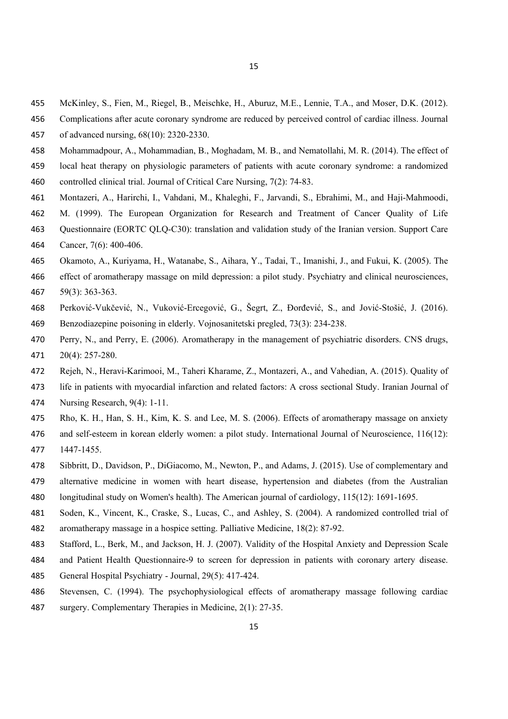- McKinley, S., Fien, M., Riegel, B., Meischke, H., Aburuz, M.E., Lennie, T.A., and Moser, D.K. (2012).
- Complications after acute coronary syndrome are reduced by perceived control of cardiac illness. Journal
- of advanced nursing, 68(10): 2320-2330.
- Mohammadpour, A., Mohammadian, B., Moghadam, M. B., and Nematollahi, M. R. (2014). The effect of
- local heat therapy on physiologic parameters of patients with acute coronary syndrome: a randomized
- controlled clinical trial. Journal of Critical Care Nursing, 7(2): 74-83.
- Montazeri, A., Harirchi, I., Vahdani, M., Khaleghi, F., Jarvandi, S., Ebrahimi, M., and Haji-Mahmoodi,
- M. (1999). The European Organization for Research and Treatment of Cancer Quality of Life
- Questionnaire (EORTC QLQ-C30): translation and validation study of the Iranian version. Support Care
- Cancer, 7(6): 400-406.
- Okamoto, A., Kuriyama, H., Watanabe, S., Aihara, Y., Tadai, T., Imanishi, J., and Fukui, K. (2005). The
- effect of aromatherapy massage on mild depression: a pilot study. Psychiatry and clinical neurosciences,
- 59(3): 363-363.
- Perković-Vukčević, N., Vuković-Ercegović, G., Šegrt, Z., Đorđević, S., and Jović-Stošić, J. (2016).
- Benzodiazepine poisoning in elderly. Vojnosanitetski pregled, 73(3): 234-238.
- Perry, N., and Perry, E. (2006). Aromatherapy in the management of psychiatric disorders. CNS drugs, 20(4): 257-280.
- Rejeh, N., Heravi-Karimooi, M., Taheri Kharame, Z., Montazeri, A., and Vahedian, A. (2015). Quality of
- life in patients with myocardial infarction and related factors: A cross sectional Study. Iranian Journal of
- Nursing Research, 9(4): 1-11.
- Rho, K. H., Han, S. H., Kim, K. S. and Lee, M. S. (2006). Effects of aromatherapy massage on anxiety
- 476 and self-esteem in korean elderly women: a pilot study. International Journal of Neuroscience, 116(12): 1447-1455.
- Sibbritt, D., Davidson, P., DiGiacomo, M., Newton, P., and Adams, J. (2015). Use of complementary and
- alternative medicine in women with heart disease, hypertension and diabetes (from the Australian
- longitudinal study on Women's health). The American journal of cardiology, 115(12): 1691-1695.
- Soden, K., Vincent, K., Craske, S., Lucas, C., and Ashley, S. (2004). A randomized controlled trial of aromatherapy massage in a hospice setting. Palliative Medicine, 18(2): 87-92.
- Stafford, L., Berk, M., and Jackson, H. J. (2007). Validity of the Hospital Anxiety and Depression Scale
- and Patient Health Questionnaire-9 to screen for depression in patients with coronary artery disease.
- General Hospital Psychiatry Journal, 29(5): 417-424.
- Stevensen, C. (1994). The psychophysiological effects of aromatherapy massage following cardiac
- surgery. Complementary Therapies in Medicine, 2(1): 27-35.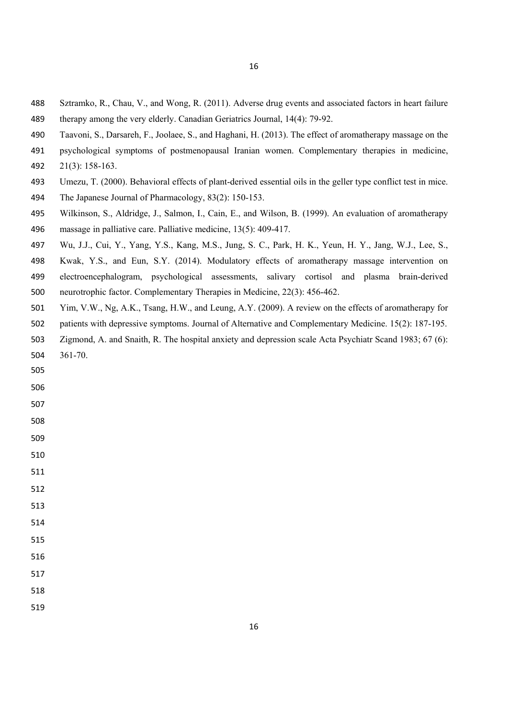- Sztramko, R., Chau, V., and Wong, R. (2011). Adverse drug events and associated factors in heart failure therapy among the very elderly. Canadian Geriatrics Journal, 14(4): 79-92.
- Taavoni, S., Darsareh, F., Joolaee, S., and Haghani, H. (2013). The effect of aromatherapy massage on the
- psychological symptoms of postmenopausal Iranian women. Complementary therapies in medicine,
- 21(3): 158-163.
- Umezu, T. (2000). Behavioral effects of plant-derived essential oils in the geller type conflict test in mice.
- The Japanese Journal of Pharmacology, 83(2): 150-153.
- Wilkinson, S., Aldridge, J., Salmon, I., Cain, E., and Wilson, B. (1999). An evaluation of aromatherapy massage in palliative care. Palliative medicine, 13(5): 409-417.
- Wu, J.J., Cui, Y., Yang, Y.S., Kang, M.S., Jung, S. C., Park, H. K., Yeun, H. Y., Jang, W.J., Lee, S.,
- Kwak, Y.S., and Eun, S.Y. (2014). Modulatory effects of aromatherapy massage intervention on electroencephalogram, psychological assessments, salivary cortisol and plasma brain-derived neurotrophic factor. Complementary Therapies in Medicine, 22(3): 456-462.
- Yim, V.W., Ng, A.K., Tsang, H.W., and Leung, A.Y. (2009). A review on the effects of aromatherapy for
- patients with depressive symptoms. Journal of Alternative and Complementary Medicine. 15(2): 187-195.
- Zigmond, A. and Snaith, R. The hospital anxiety and depression scale Acta Psychiatr Scand 1983; 67 (6): 361-70.
- 
- 
- 
- 
- 
- 
- 
- 
- 
- 
- 
- 

- 
-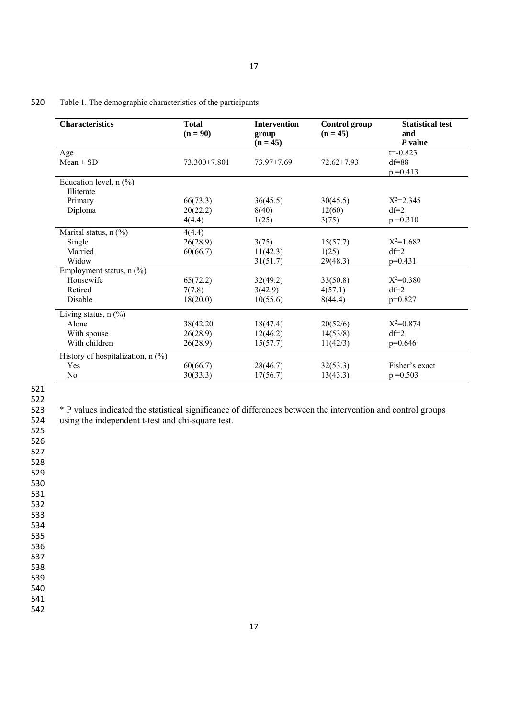| <b>Characteristics</b>              | <b>Total</b><br>$(n = 90)$ | <b>Intervention</b><br>group<br>$(n = 45)$ | <b>Control group</b><br>$(n = 45)$ | <b>Statistical test</b><br>and<br>P value |
|-------------------------------------|----------------------------|--------------------------------------------|------------------------------------|-------------------------------------------|
| Age                                 |                            |                                            |                                    | $t = -0.823$                              |
| $Mean \pm SD$                       | 73.300 ± 7.801             | $73.97 \pm 7.69$                           | $72.62 \pm 7.93$                   | $df=88$                                   |
|                                     |                            |                                            |                                    | $p = 0.413$                               |
| Education level, $n$ (%)            |                            |                                            |                                    |                                           |
| Illiterate                          |                            |                                            |                                    |                                           |
| Primary                             | 66(73.3)                   | 36(45.5)                                   | 30(45.5)                           | $X^2 = 2.345$                             |
| Diploma                             | 20(22.2)                   | 8(40)                                      | 12(60)                             | $df=2$                                    |
|                                     | 4(4.4)                     | 1(25)                                      | 3(75)                              | $p = 0.310$                               |
| Marital status, $n$ (%)             | 4(4.4)                     |                                            |                                    |                                           |
| Single                              | 26(28.9)                   | 3(75)                                      | 15(57.7)                           | $X^2=1.682$                               |
| Married                             | 60(66.7)                   | 11(42.3)                                   | 1(25)                              | $df=2$                                    |
| Widow                               |                            | 31(51.7)                                   | 29(48.3)                           | $p=0.431$                                 |
| Employment status, $n$ (%)          |                            |                                            |                                    |                                           |
| Housewife                           | 65(72.2)                   | 32(49.2)                                   | 33(50.8)                           | $X^2=0.380$                               |
| Retired                             | 7(7.8)                     | 3(42.9)                                    | 4(57.1)                            | $df=2$                                    |
| Disable                             | 18(20.0)                   | 10(55.6)                                   | 8(44.4)                            | $p=0.827$                                 |
| Living status, $n$ $(\%)$           |                            |                                            |                                    |                                           |
| Alone                               | 38(42.20)                  | 18(47.4)                                   | 20(52/6)                           | $X^2=0.874$                               |
| With spouse                         | 26(28.9)                   | 12(46.2)                                   | 14(53/8)                           | $df=2$                                    |
| With children                       | 26(28.9)                   | 15(57.7)                                   | 11(42/3)                           | $p=0.646$                                 |
| History of hospitalization, $n$ (%) |                            |                                            |                                    |                                           |
| Yes                                 | 60(66.7)                   | 28(46.7)                                   | 32(53.3)                           | Fisher's exact                            |
| N <sub>0</sub>                      | 30(33.3)                   | 17(56.7)                                   | 13(43.3)                           | $p = 0.503$                               |

520 Table 1. The demographic characteristics of the participants

521

522

523 \* P values indicated the statistical significance of differences between the intervention and control groups

524 using the independent t-test and chi-square test. 525

526 527

528 529

531 532

530

533

534 535

536

537 538

539

540

541

542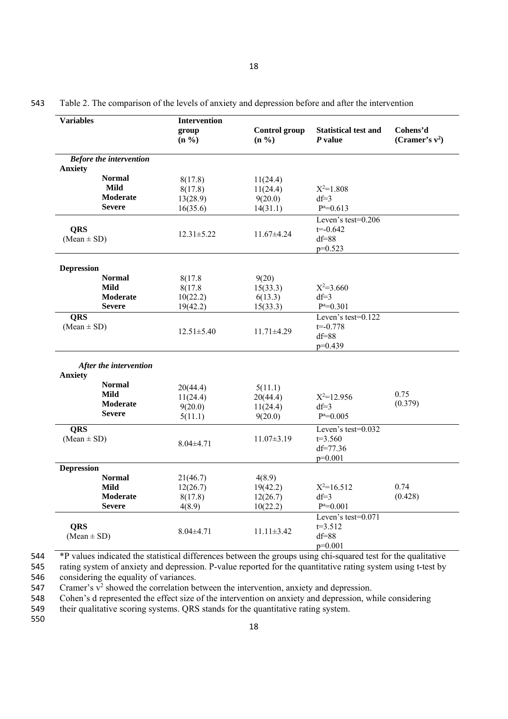| <b>Variables</b>                         | <b>Intervention</b> |                           |                                                              |                               |
|------------------------------------------|---------------------|---------------------------|--------------------------------------------------------------|-------------------------------|
|                                          | group<br>$(n\% )$   | Control group<br>$(n\% )$ | <b>Statistical test and</b><br>P value                       | Cohens'd<br>(Cramer's $v^2$ ) |
| <b>Before the intervention</b>           |                     |                           |                                                              |                               |
| <b>Anxiety</b>                           |                     |                           |                                                              |                               |
| <b>Normal</b><br><b>Mild</b>             | 8(17.8)             | 11(24.4)                  |                                                              |                               |
| <b>Moderate</b>                          | 8(17.8)             | 11(24.4)                  | $X^2=1.808$                                                  |                               |
| <b>Severe</b>                            | 13(28.9)            | 9(20.0)                   | $df=3$                                                       |                               |
|                                          | 16(35.6)            | 14(31.1)                  | $P^a = 0.613$                                                |                               |
| <b>QRS</b><br>$(Mean \pm SD)$            | $12.31 \pm 5.22$    | $11.67 \pm 4.24$          | Leven's test=0.206<br>$t = -0.642$<br>$df = 88$<br>$p=0.523$ |                               |
| <b>Depression</b>                        |                     |                           |                                                              |                               |
| <b>Normal</b>                            | 8(17.8)             | 9(20)                     |                                                              |                               |
| <b>Mild</b>                              | 8(17.8)             | 15(33.3)                  | $X^2=3.660$                                                  |                               |
| Moderate                                 | 10(22.2)            | 6(13.3)                   | $df=3$                                                       |                               |
| <b>Severe</b>                            | 19(42.2)            | 15(33.3)                  | $P^a = 0.301$                                                |                               |
| <b>ORS</b>                               |                     |                           | Leven's test=0.122                                           |                               |
| $(Mean \pm SD)$                          | $12.51 \pm 5.40$    | 11.71±4.29                | $t = -0.778$<br>$df=88$<br>$p=0.439$                         |                               |
| After the intervention<br><b>Anxiety</b> |                     |                           |                                                              |                               |
| <b>Normal</b>                            | 20(44.4)            | 5(11.1)                   |                                                              |                               |
| <b>Mild</b>                              | 11(24.4)            | 20(44.4)                  | $X^2=12.956$                                                 | 0.75                          |
| <b>Moderate</b>                          | 9(20.0)             | 11(24.4)                  | $df=3$                                                       | (0.379)                       |
| <b>Severe</b>                            | 5(11.1)             | 9(20.0)                   | $P^a = 0.005$                                                |                               |
| <b>QRS</b>                               |                     |                           | Leven's test=0.032                                           |                               |
| $(Mean \pm SD)$                          | $8.04 \pm 4.71$     | $11.07\pm3.19$            | $t=3.560$<br>$df = 77.36$<br>$p=0.001$                       |                               |
| <b>Depression</b>                        |                     |                           |                                                              |                               |
| <b>Normal</b>                            | 21(46.7)            | 4(8.9)                    |                                                              |                               |
| <b>Mild</b>                              | 12(26.7)            | 19(42.2)                  | $X^2=16.512$                                                 | 0.74                          |
| <b>Moderate</b>                          | 8(17.8)             | 12(26.7)                  | $df=3$                                                       | (0.428)                       |
| <b>Severe</b>                            | 4(8.9)              | 10(22.2)                  | $P^a = 0.001$                                                |                               |
| <b>QRS</b><br>$(Mean \pm SD)$            | $8.04 \pm 4.71$     | $11.11 \pm 3.42$          | Leven's test=0.071<br>$t=3.512$<br>$df=88$<br>$p=0.001$      |                               |

543 Table 2. The comparison of the levels of anxiety and depression before and after the intervention

544 \*P values indicated the statistical differences between the groups using chi-squared test for the qualitative

545 rating system of anxiety and depression. P-value reported for the quantitative rating system using t-test by 546 considering the equality of variances.

Cramer's  $\overline{v^2}$  showed the correlation between the intervention, anxiety and depression.<br>548 Cohen's d represented the effect size of the intervention on anxiety and depression, w

Cohen's d represented the effect size of the intervention on anxiety and depression, while considering

549 their qualitative scoring systems. QRS stands for the quantitative rating system.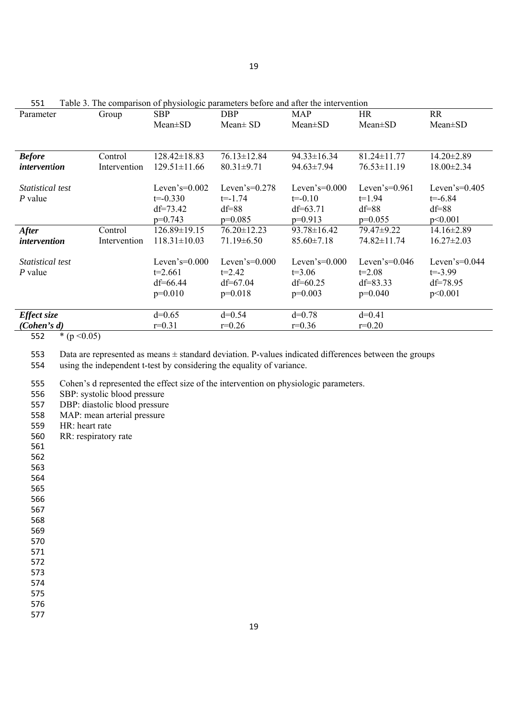| Parameter                            | Group                   | <b>SBP</b><br>$Mean \pm SD$                                 | where it is a comparison of physiologic parameters occure and<br><b>DBP</b><br>$Mean \pm SD$ | <b>MAP</b><br>$Mean \pm SD$                                | HR<br>$Mean \pm SD$                                         | <b>RR</b><br>$Mean \pm SD$                               |
|--------------------------------------|-------------------------|-------------------------------------------------------------|----------------------------------------------------------------------------------------------|------------------------------------------------------------|-------------------------------------------------------------|----------------------------------------------------------|
| <b>Before</b><br><i>intervention</i> | Control<br>Intervention | $128.42 \pm 18.83$<br>$129.51 \pm 11.66$                    | $76.13 \pm 12.84$<br>$80.31 \pm 9.71$                                                        | $94.33 \pm 16.34$<br>$94.63 \pm 7.94$                      | $81.24 \pm 11.77$<br>$76.53 \pm 11.19$                      | $14.20 \pm 2.89$<br>$18.00 \pm 2.34$                     |
| Statistical test<br>$P$ value        |                         | Leven's= $0.002$<br>$t = -0.330$<br>$df=73.42$<br>$p=0.743$ | Leven's= $0.278$<br>$t = -1.74$<br>$df=88$<br>$p=0.085$                                      | Leven's= $0.000$<br>$t = -0.10$<br>$df=63.71$<br>$p=0.913$ | Leven's= $0.961$<br>$t=1.94$<br>$df=88$<br>$p=0.055$        | Leven's= $0.405$<br>$t = -6.84$<br>$df=88$<br>p<0.001    |
| <b>After</b><br><i>intervention</i>  | Control<br>Intervention | $126.89 \pm 19.15$<br>$118.31 \pm 10.03$                    | $76.20 \pm 12.23$<br>$71.19 \pm 6.50$                                                        | $93.78 \pm 16.42$<br>$85.60 \pm 7.18$                      | 79.47±9.22<br>74.82±11.74                                   | $14.16 \pm 2.89$<br>$16.27 \pm 2.03$                     |
| Statistical test<br>P value          |                         | Leven's= $0.000$<br>$t=2.661$<br>$df=66.44$<br>$p=0.010$    | Leven's= $0.000$<br>$t = 2.42$<br>$df=67.04$<br>$p=0.018$                                    | Leven's= $0.000$<br>$t=3.06$<br>$df=60.25$<br>$p=0.003$    | Leven's= $0.046$<br>$t = 2.08$<br>$df = 83.33$<br>$p=0.040$ | Leven's= $0.044$<br>$t = -3.99$<br>$df=78.95$<br>p<0.001 |
| Effect size<br>(Cohen's d)           |                         | $d=0.65$<br>$r=0.31$                                        | $d=0.54$<br>$r=0.26$                                                                         | $d=0.78$<br>$r=0.36$                                       | $d=0.41$<br>$r=0.20$                                        |                                                          |

551 Table 3. The comparison of physiologic parameters before and after the intervention

552  $*(p < 0.05)$ 

553 Data are represented as means ± standard deviation. P-values indicated differences between the groups

554 using the independent t-test by considering the equality of variance.

555 Cohen's d represented the effect size of the intervention on physiologic parameters.

556 SBP: systolic blood pressure

557 DBP: diastolic blood pressure<br>558 MAP: mean arterial pressure 558 MAP: mean arterial pressure<br>559 HR: heart rate

HR: heart rate

560 RR: respiratory rate

562 563

564

565

566 567

568

569

570 571

572

573 574

575

576

577